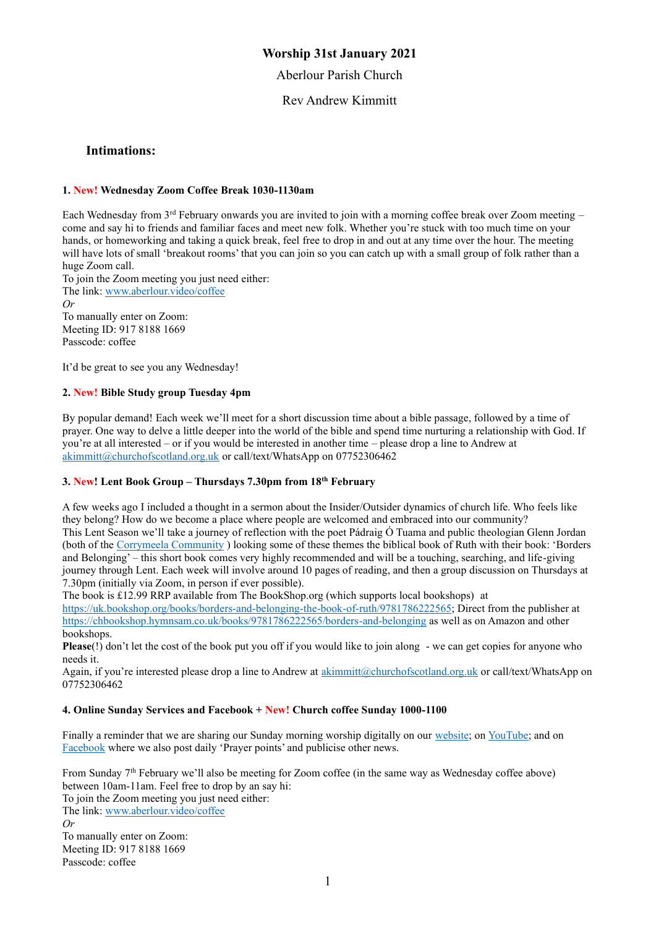## **Worship 31st January 2021**

Aberlour Parish Church

Rev Andrew Kimmitt

#### **Intimations:**

#### **1. New! Wednesday Zoom Coffee Break 1030-1130am**

Each Wednesday from 3rd February onwards you are invited to join with a morning coffee break over Zoom meeting – come and say hi to friends and familiar faces and meet new folk. Whether you're stuck with too much time on your hands, or homeworking and taking a quick break, feel free to drop in and out at any time over the hour. The meeting will have lots of small 'breakout rooms' that you can join so you can catch up with a small group of folk rather than a huge Zoom call.

To join the Zoom meeting you just need either: The link: [www.aberlour.video/coffee](http://www.aberlour.video/coffee) *Or*  To manually enter on Zoom: Meeting ID: 917 8188 1669

It'd be great to see you any Wednesday!

Passcode: coffee

#### **2. New! Bible Study group Tuesday 4pm**

By popular demand! Each week we'll meet for a short discussion time about a bible passage, followed by a time of prayer. One way to delve a little deeper into the world of the bible and spend time nurturing a relationship with God. If you're at all interested – or if you would be interested in another time – please drop a line to Andrew at [akimmitt@churchofscotland.org.uk](mailto:akimmitt@churchofscotland.org.uk) or call/text/WhatsApp on 07752306462

#### **3. New! Lent Book Group – Thursdays 7.30pm from 18th February**

A few weeks ago I included a thought in a sermon about the Insider/Outsider dynamics of church life. Who feels like they belong? How do we become a place where people are welcomed and embraced into our community? This Lent Season we'll take a journey of reflection with the poet Pádraig Ó Tuama and public theologian Glenn Jordan (both of the [Corrymeela Community](https://www.corrymeela.org/) ) looking some of these themes the biblical book of Ruth with their book: 'Borders and Belonging' – this short book comes very highly recommended and will be a touching, searching, and life-giving journey through Lent. Each week will involve around 10 pages of reading, and then a group discussion on Thursdays at 7.30pm (initially via Zoom, in person if ever possible).

The book is £12.99 RRP available from The BookShop.org (which supports local bookshops) at [https://uk.bookshop.org/books/borders-and-belonging-the-book-of-ruth/9781786222565;](https://uk.bookshop.org/books/borders-and-belonging-the-book-of-ruth/9781786222565) Direct from the publisher at <https://chbookshop.hymnsam.co.uk/books/9781786222565/borders-and-belonging> as well as on Amazon and other bookshops.

**Please**(!) don't let the cost of the book put you off if you would like to join along - we can get copies for anyone who needs it.

Again, if you're interested please drop a line to Andrew at [akimmitt@churchofscotland.org.uk](mailto:akimmitt@churchofscotland.org.uk) or call/text/WhatsApp on 07752306462

#### **4. Online Sunday Services and Facebook + New! Church coffee Sunday 1000-1100**

Finally a reminder that we are sharing our Sunday morning worship digitally on our [website;](https://aberlourparishchurch.org.uk/) on [YouTube;](https://www.youtube.com/channel/UC2SDxEYfzpEr06VgkCQmM_w) and on [Facebook](https://www.facebook.com/AberlourParishChurch) where we also post daily 'Prayer points' and publicise other news.

From Sunday 7th February we'll also be meeting for Zoom coffee (in the same way as Wednesday coffee above) between 10am-11am. Feel free to drop by an say hi: To join the Zoom meeting you just need either: The link[: www.aberlour.video/coffee](http://www.aberlour.video/coffee) *Or* 

To manually enter on Zoom: Meeting ID: 917 8188 1669 Passcode: coffee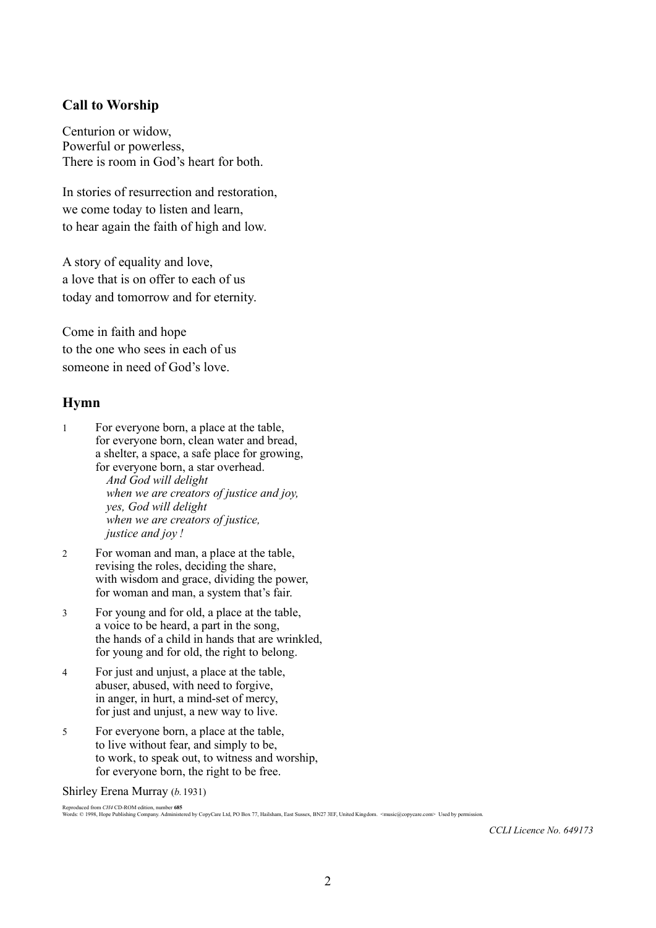## **Call to Worship**

Centurion or widow, Powerful or powerless, There is room in God's heart for both.

In stories of resurrection and restoration, we come today to listen and learn, to hear again the faith of high and low.

A story of equality and love, a love that is on offer to each of us today and tomorrow and for eternity.

Come in faith and hope to the one who sees in each of us someone in need of God's love.

# **Hymn**

1 For everyone born, a place at the table, for everyone born, clean water and bread, a shelter, a space, a safe place for growing, for everyone born, a star overhead. *And God will delight when we are creators of justice and joy, yes, God will delight when we are creators of justice, justice and joy !*

- 2 For woman and man, a place at the table, revising the roles, deciding the share, with wisdom and grace, dividing the power, for woman and man, a system that's fair.
- 3 For young and for old, a place at the table, a voice to be heard, a part in the song, the hands of a child in hands that are wrinkled, for young and for old, the right to belong.
- 4 For just and unjust, a place at the table, abuser, abused, with need to forgive, in anger, in hurt, a mind-set of mercy, for just and unjust, a new way to live.
- 5 For everyone born, a place at the table, to live without fear, and simply to be, to work, to speak out, to witness and worship, for everyone born, the right to be free.

Shirley Erena Murray (*b.*1931)

Reproduced from CH4 CD-ROM edition, number **685**<br>Words: © 1998, Hope Publishing Company. Administered by CopyCare Ltd, PO Box 77, Hailsham, East Sussex, BN27 3EF, United Kingdom. <music@copycare.com> Used by permission.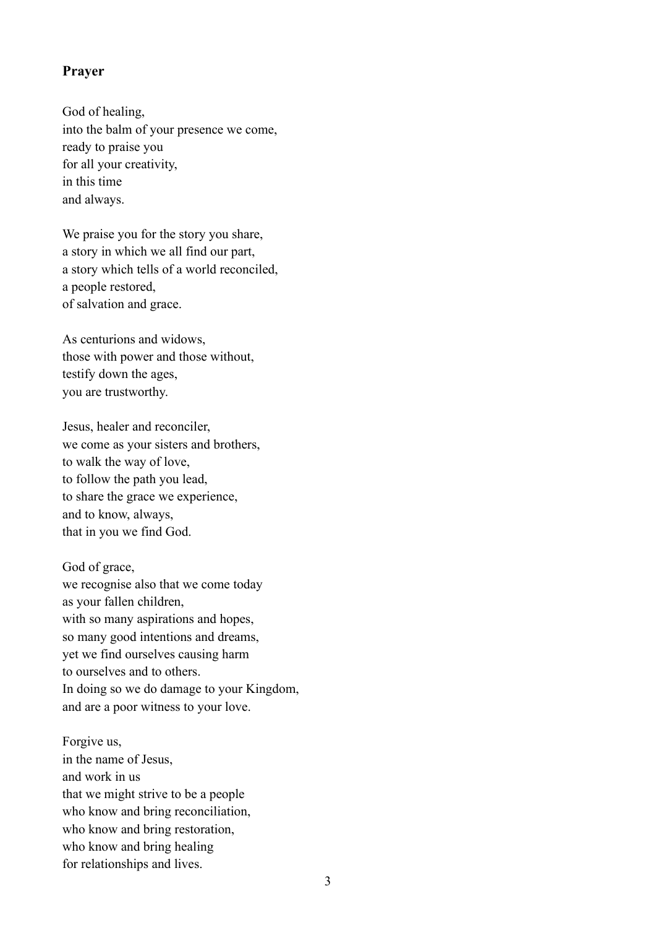### **Prayer**

God of healing, into the balm of your presence we come, ready to praise you for all your creativity, in this time and always.

We praise you for the story you share, a story in which we all find our part, a story which tells of a world reconciled, a people restored, of salvation and grace.

As centurions and widows, those with power and those without, testify down the ages, you are trustworthy.

Jesus, healer and reconciler, we come as your sisters and brothers, to walk the way of love, to follow the path you lead, to share the grace we experience, and to know, always, that in you we find God.

God of grace, we recognise also that we come today as your fallen children, with so many aspirations and hopes, so many good intentions and dreams, yet we find ourselves causing harm to ourselves and to others. In doing so we do damage to your Kingdom, and are a poor witness to your love.

Forgive us, in the name of Jesus, and work in us that we might strive to be a people who know and bring reconciliation, who know and bring restoration, who know and bring healing for relationships and lives.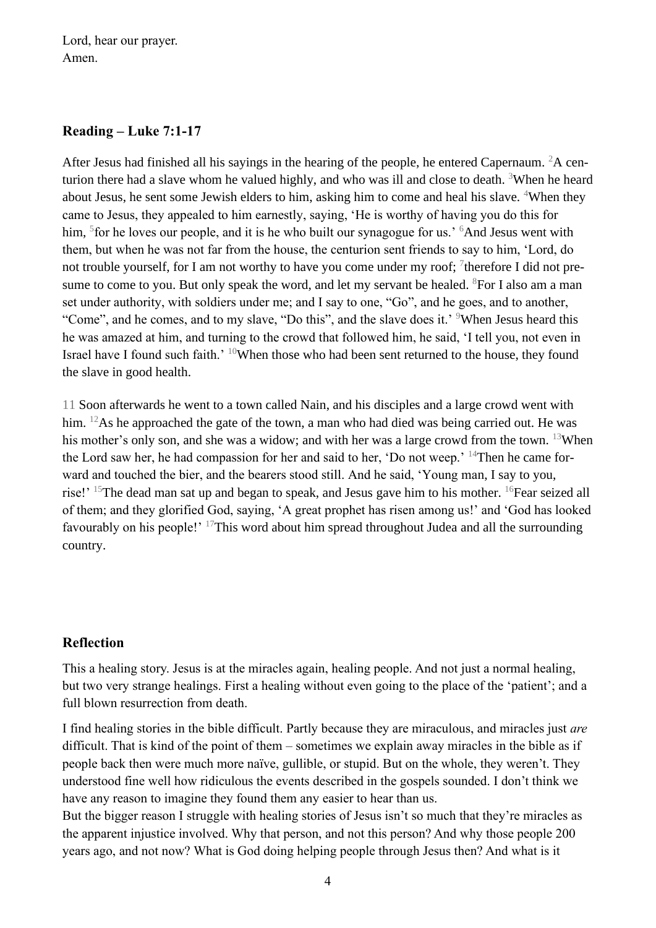Lord, hear our prayer. Amen.

## **Reading – Luke 7:1-17**

After Jesus had finished all his sayings in the hearing of the people, he entered Capernaum. <sup>2</sup>A centurion there had a slave whom he valued highly, and who was ill and close to death. <sup>3</sup>When he heard about Jesus, he sent some Jewish elders to him, asking him to come and heal his slave. <sup>4</sup>When they came to Jesus, they appealed to him earnestly, saying, 'He is worthy of having you do this for him, <sup>5</sup> for he loves our people, and it is he who built our synagogue for us.' <sup>6</sup>And Jesus went with them, but when he was not far from the house, the centurion sent friends to say to him, 'Lord, do not trouble yourself, for I am not worthy to have you come under my roof;  $\frac{7}{1}$  therefore I did not presume to come to you. But only speak the word, and let my servant be healed.  ${}^{8}$ For I also am a man set under authority, with soldiers under me; and I say to one, "Go", and he goes, and to another, "Come", and he comes, and to my slave, "Do this", and the slave does it.' <sup>9</sup>When Jesus heard this he was amazed at him, and turning to the crowd that followed him, he said, 'I tell you, not even in Israel have I found such faith.' <sup>10</sup>When those who had been sent returned to the house, they found the slave in good health.

11 Soon afterwards he went to a town called Nain, and his disciples and a large crowd went with him. <sup>12</sup>As he approached the gate of the town, a man who had died was being carried out. He was his mother's only son, and she was a widow; and with her was a large crowd from the town. <sup>13</sup>When the Lord saw her, he had compassion for her and said to her, 'Do not weep.' <sup>14</sup>Then he came forward and touched the bier, and the bearers stood still. And he said, 'Young man, I say to you, rise!' <sup>15</sup>The dead man sat up and began to speak, and Jesus gave him to his mother. <sup>16</sup>Fear seized all of them; and they glorified God, saying, 'A great prophet has risen among us!' and 'God has looked favourably on his people!' <sup>17</sup>This word about him spread throughout Judea and all the surrounding country.

# **Reflection**

This a healing story. Jesus is at the miracles again, healing people. And not just a normal healing, but two very strange healings. First a healing without even going to the place of the 'patient'; and a full blown resurrection from death.

I find healing stories in the bible difficult. Partly because they are miraculous, and miracles just *are*  difficult. That is kind of the point of them – sometimes we explain away miracles in the bible as if people back then were much more naïve, gullible, or stupid. But on the whole, they weren't. They understood fine well how ridiculous the events described in the gospels sounded. I don't think we have any reason to imagine they found them any easier to hear than us.

But the bigger reason I struggle with healing stories of Jesus isn't so much that they're miracles as the apparent injustice involved. Why that person, and not this person? And why those people 200 years ago, and not now? What is God doing helping people through Jesus then? And what is it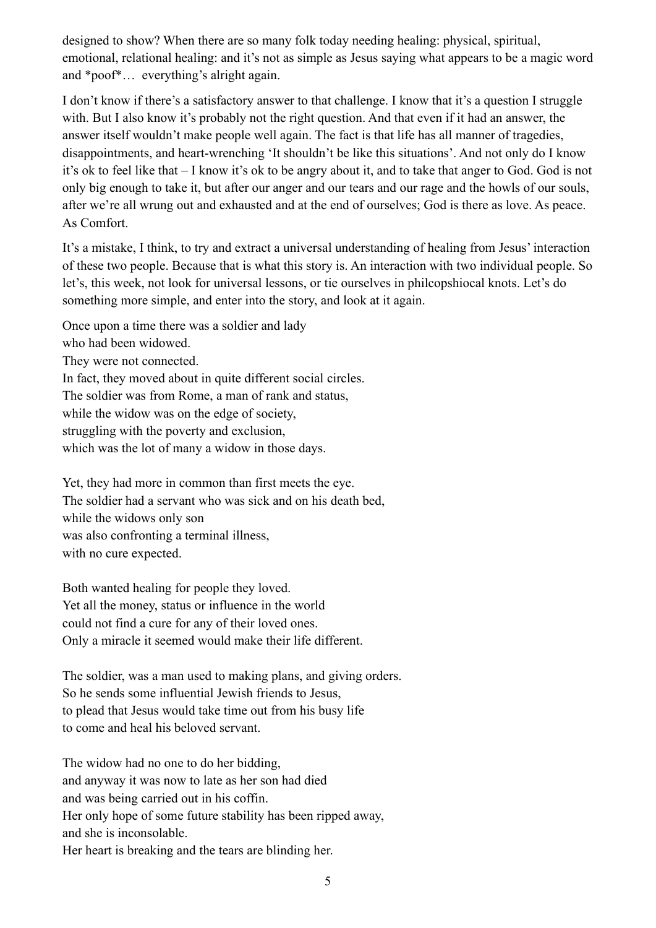designed to show? When there are so many folk today needing healing: physical, spiritual, emotional, relational healing: and it's not as simple as Jesus saying what appears to be a magic word and \*poof\*… everything's alright again.

I don't know if there's a satisfactory answer to that challenge. I know that it's a question I struggle with. But I also know it's probably not the right question. And that even if it had an answer, the answer itself wouldn't make people well again. The fact is that life has all manner of tragedies, disappointments, and heart-wrenching 'It shouldn't be like this situations'. And not only do I know it's ok to feel like that – I know it's ok to be angry about it, and to take that anger to God. God is not only big enough to take it, but after our anger and our tears and our rage and the howls of our souls, after we're all wrung out and exhausted and at the end of ourselves; God is there as love. As peace. As Comfort.

It's a mistake, I think, to try and extract a universal understanding of healing from Jesus' interaction of these two people. Because that is what this story is. An interaction with two individual people. So let's, this week, not look for universal lessons, or tie ourselves in philcopshiocal knots. Let's do something more simple, and enter into the story, and look at it again.

Once upon a time there was a soldier and lady who had been widowed. They were not connected. In fact, they moved about in quite different social circles. The soldier was from Rome, a man of rank and status, while the widow was on the edge of society, struggling with the poverty and exclusion, which was the lot of many a widow in those days.

Yet, they had more in common than first meets the eye. The soldier had a servant who was sick and on his death bed, while the widows only son was also confronting a terminal illness, with no cure expected.

Both wanted healing for people they loved. Yet all the money, status or influence in the world could not find a cure for any of their loved ones. Only a miracle it seemed would make their life different.

The soldier, was a man used to making plans, and giving orders. So he sends some influential Jewish friends to Jesus, to plead that Jesus would take time out from his busy life to come and heal his beloved servant.

The widow had no one to do her bidding, and anyway it was now to late as her son had died and was being carried out in his coffin. Her only hope of some future stability has been ripped away, and she is inconsolable. Her heart is breaking and the tears are blinding her.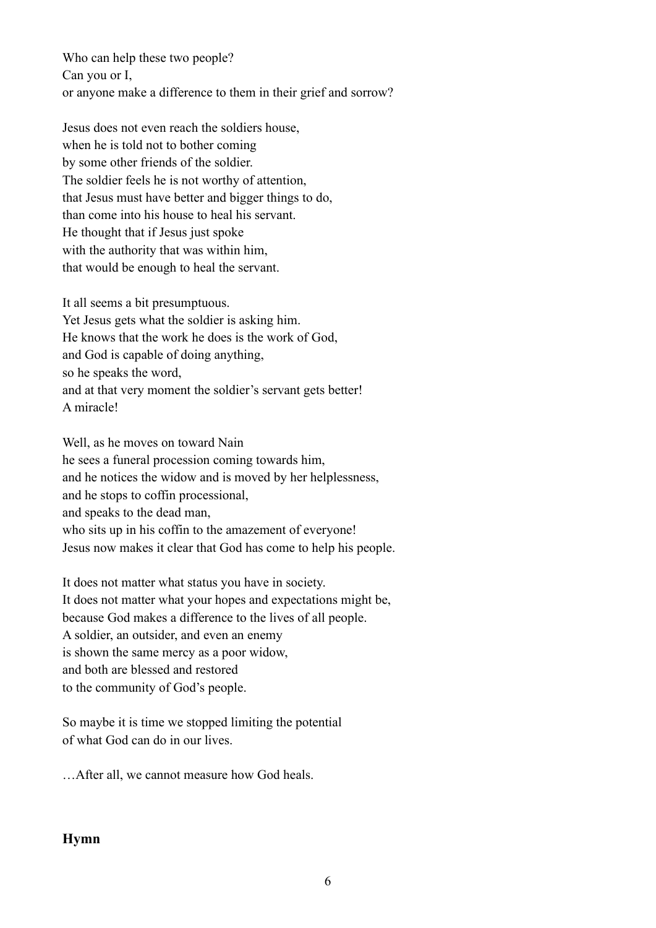Who can help these two people? Can you or I, or anyone make a difference to them in their grief and sorrow?

Jesus does not even reach the soldiers house, when he is told not to bother coming by some other friends of the soldier. The soldier feels he is not worthy of attention, that Jesus must have better and bigger things to do, than come into his house to heal his servant. He thought that if Jesus just spoke with the authority that was within him, that would be enough to heal the servant.

It all seems a bit presumptuous. Yet Jesus gets what the soldier is asking him. He knows that the work he does is the work of God, and God is capable of doing anything, so he speaks the word, and at that very moment the soldier's servant gets better! A miracle!

Well, as he moves on toward Nain he sees a funeral procession coming towards him, and he notices the widow and is moved by her helplessness, and he stops to coffin processional, and speaks to the dead man, who sits up in his coffin to the amazement of everyone! Jesus now makes it clear that God has come to help his people.

It does not matter what status you have in society. It does not matter what your hopes and expectations might be, because God makes a difference to the lives of all people. A soldier, an outsider, and even an enemy is shown the same mercy as a poor widow, and both are blessed and restored to the community of God's people.

So maybe it is time we stopped limiting the potential of what God can do in our lives.

…After all, we cannot measure how God heals.

# **Hymn**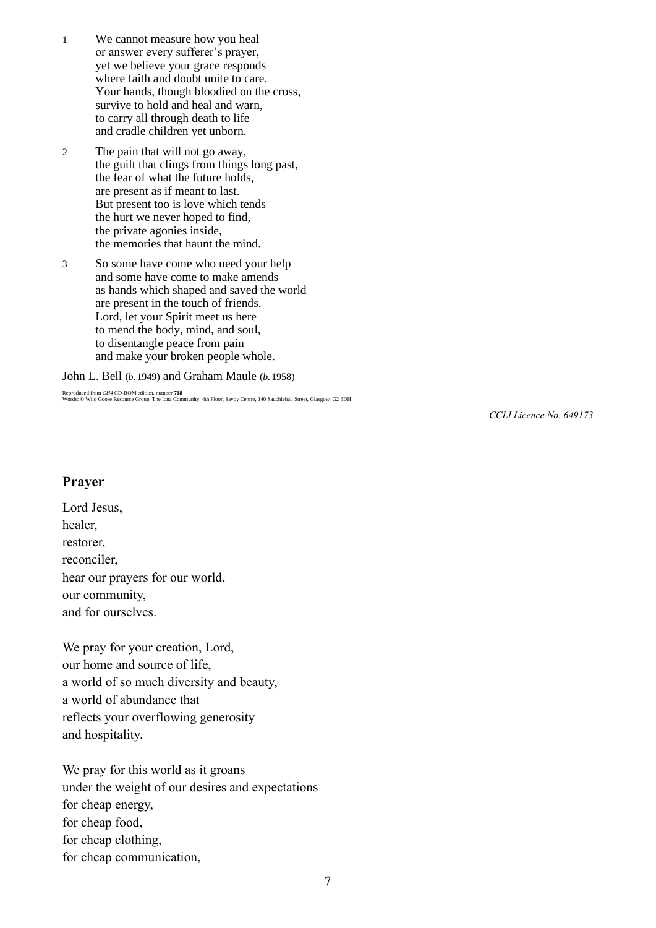- 1 We cannot measure how you heal or answer every sufferer's prayer, yet we believe your grace responds where faith and doubt unite to care. Your hands, though bloodied on the cross, survive to hold and heal and warn, to carry all through death to life and cradle children yet unborn.
- 2 The pain that will not go away, the guilt that clings from things long past, the fear of what the future holds, are present as if meant to last. But present too is love which tends the hurt we never hoped to find, the private agonies inside, the memories that haunt the mind.
- 3 So some have come who need your help and some have come to make amends as hands which shaped and saved the world are present in the touch of friends. Lord, let your Spirit meet us here to mend the body, mind, and soul, to disentangle peace from pain and make your broken people whole.

John L. Bell (*b.*1949) and Graham Maule (*b.*1958)

Reproduced from *CH4* CD-ROM edition, number **718** Words: © Wild Goose Resource Group, The Iona Community, 4th Floor, Savoy Centre, 140 Sauchiehall Street, Glasgow G2 3DH

*CCLI Licence No. 649173*

#### **Prayer**

Lord Jesus, healer, restorer, reconciler, hear our prayers for our world, our community, and for ourselves.

We pray for your creation, Lord, our home and source of life, a world of so much diversity and beauty, a world of abundance that reflects your overflowing generosity and hospitality.

We pray for this world as it groans under the weight of our desires and expectations for cheap energy, for cheap food, for cheap clothing, for cheap communication,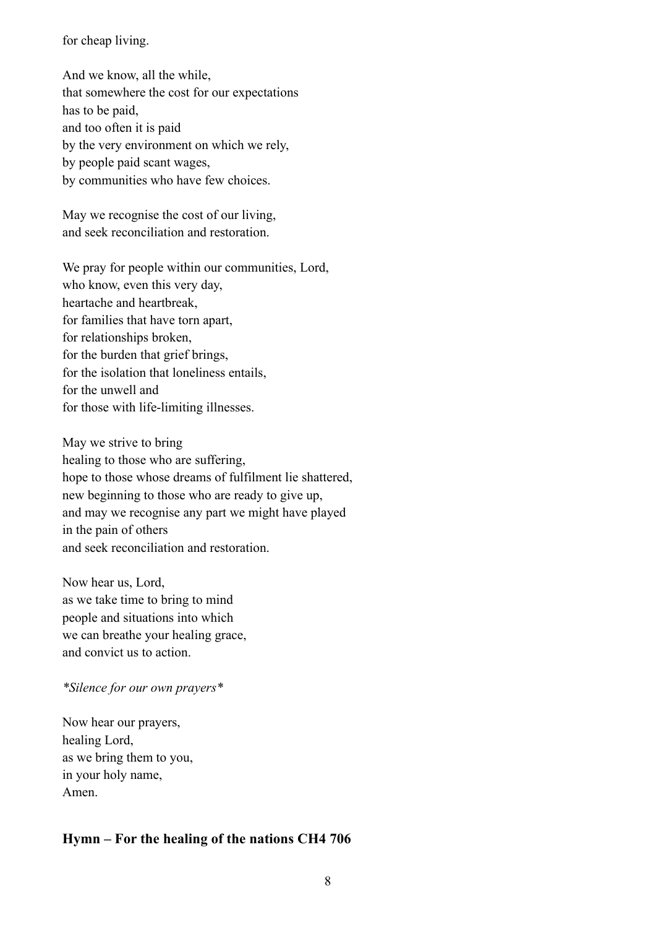for cheap living.

And we know, all the while, that somewhere the cost for our expectations has to be paid, and too often it is paid by the very environment on which we rely, by people paid scant wages, by communities who have few choices.

May we recognise the cost of our living, and seek reconciliation and restoration.

We pray for people within our communities, Lord, who know, even this very day, heartache and heartbreak, for families that have torn apart, for relationships broken, for the burden that grief brings, for the isolation that loneliness entails, for the unwell and for those with life-limiting illnesses.

May we strive to bring healing to those who are suffering, hope to those whose dreams of fulfilment lie shattered, new beginning to those who are ready to give up, and may we recognise any part we might have played in the pain of others and seek reconciliation and restoration.

Now hear us, Lord, as we take time to bring to mind people and situations into which we can breathe your healing grace, and convict us to action.

### *\*Silence for our own prayers\**

Now hear our prayers, healing Lord, as we bring them to you, in your holy name, Amen.

## **Hymn – For the healing of the nations CH4 706**